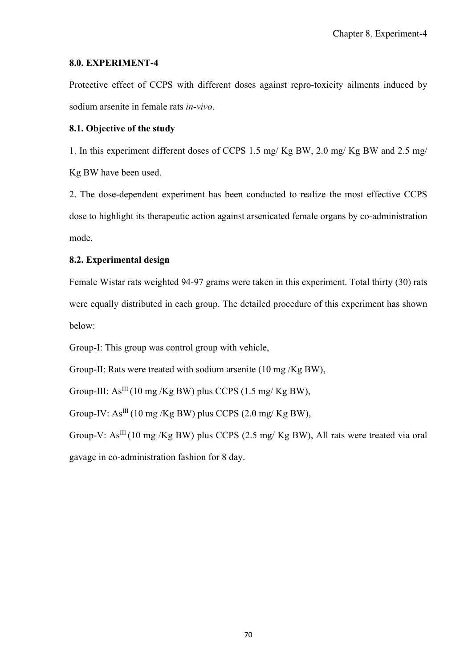### **8.0. EXPERIMENT-4**

Protective effect of CCPS with different doses against repro-toxicity ailments induced by sodium arsenite in female rats *in-vivo*.

## **8.1. Objective of the study**

1. In this experiment different doses of CCPS 1.5 mg/ Kg BW, 2.0 mg/ Kg BW and 2.5 mg/ Kg BW have been used.

2. The dose-dependent experiment has been conducted to realize the most effective CCPS dose to highlight its therapeutic action against arsenicated female organs by co-administration mode.

# **8.2. Experimental design**

Female Wistar rats weighted 94-97 grams were taken in this experiment. Total thirty (30) rats were equally distributed in each group. The detailed procedure of this experiment has shown below:

Group-I: This group was control group with vehicle,

Group-II: Rats were treated with sodium arsenite (10 mg /Kg BW),

Group-III:  $As^{III}(10 \text{ mg/Kg BW})$  plus CCPS  $(1.5 \text{ mg/Kg BW})$ ,

Group-IV:  $As^{III}$  (10 mg /Kg BW) plus CCPS (2.0 mg/Kg BW),

Group-V:  $As^{III}(10 \text{ mg/Kg BW})$  plus CCPS (2.5 mg/ Kg BW), All rats were treated via oral gavage in co-administration fashion for 8 day.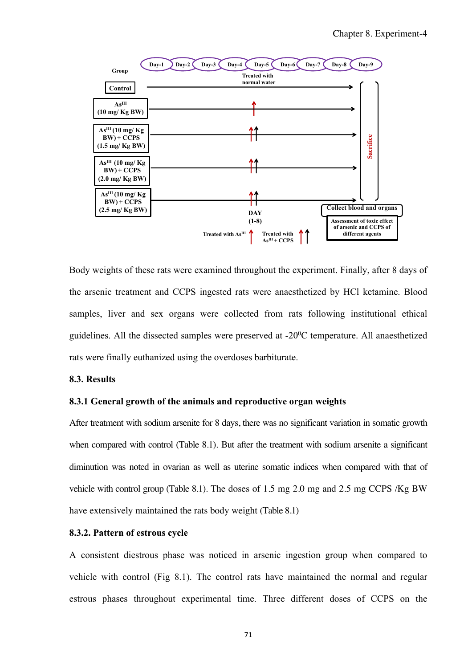

Body weights of these rats were examined throughout the experiment. Finally, after 8 days of the arsenic treatment and CCPS ingested rats were anaesthetized by HCl ketamine. Blood samples, liver and sex organs were collected from rats following institutional ethical guidelines. All the dissected samples were preserved at  $-20^0C$  temperature. All anaesthetized rats were finally euthanized using the overdoses barbiturate.

### **8.3. Results**

#### **8.3.1 General growth of the animals and reproductive organ weights**

After treatment with sodium arsenite for 8 days, there was no significant variation in somatic growth when compared with control (Table 8.1). But after the treatment with sodium arsenite a significant diminution was noted in ovarian as well as uterine somatic indices when compared with that of vehicle with control group (Table 8.1). The doses of 1.5 mg 2.0 mg and 2.5 mg CCPS /Kg BW have extensively maintained the rats body weight (Table 8.1)

### **8.3.2. Pattern of estrous cycle**

A consistent diestrous phase was noticed in arsenic ingestion group when compared to vehicle with control (Fig 8.1). The control rats have maintained the normal and regular estrous phases throughout experimental time. Three different doses of CCPS on the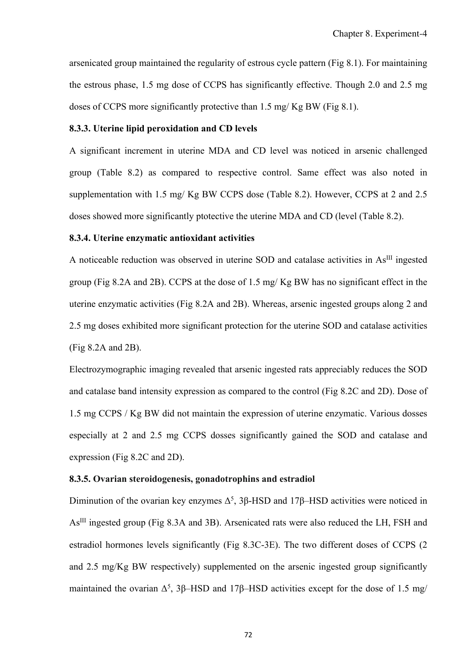arsenicated group maintained the regularity of estrous cycle pattern (Fig 8.1). For maintaining the estrous phase, 1.5 mg dose of CCPS has significantly effective. Though 2.0 and 2.5 mg doses of CCPS more significantly protective than 1.5 mg/ Kg BW (Fig 8.1).

### **8.3.3. Uterine lipid peroxidation and CD levels**

A significant increment in uterine MDA and CD level was noticed in arsenic challenged group (Table 8.2) as compared to respective control. Same effect was also noted in supplementation with 1.5 mg/ Kg BW CCPS dose (Table 8.2). However, CCPS at 2 and 2.5 doses showed more significantly ptotective the uterine MDA and CD (level (Table 8.2).

### **8.3.4. Uterine enzymatic antioxidant activities**

A noticeable reduction was observed in uterine SOD and catalase activities in As<sup>III</sup> ingested group (Fig 8.2A and 2B). CCPS at the dose of 1.5 mg/ Kg BW has no significant effect in the uterine enzymatic activities (Fig 8.2A and 2B). Whereas, arsenic ingested groups along 2 and 2.5 mg doses exhibited more significant protection for the uterine SOD and catalase activities (Fig 8.2A and 2B).

Electrozymographic imaging revealed that arsenic ingested rats appreciably reduces the SOD and catalase band intensity expression as compared to the control (Fig 8.2C and 2D). Dose of 1.5 mg CCPS / Kg BW did not maintain the expression of uterine enzymatic. Various dosses especially at 2 and 2.5 mg CCPS dosses significantly gained the SOD and catalase and expression (Fig 8.2C and 2D).

### **8.3.5. Ovarian steroidogenesis, gonadotrophins and estradiol**

Diminution of the ovarian key enzymes  $\Delta^5$ , 3 $\beta$ -HSD and 17 $\beta$ -HSD activities were noticed in AsIII ingested group (Fig 8.3A and 3B). Arsenicated rats were also reduced the LH, FSH and estradiol hormones levels significantly (Fig 8.3C-3E). The two different doses of CCPS (2 and 2.5 mg/Kg BW respectively) supplemented on the arsenic ingested group significantly maintained the ovarian  $\Delta^5$ , 3 $\beta$ –HSD and 17 $\beta$ –HSD activities except for the dose of 1.5 mg/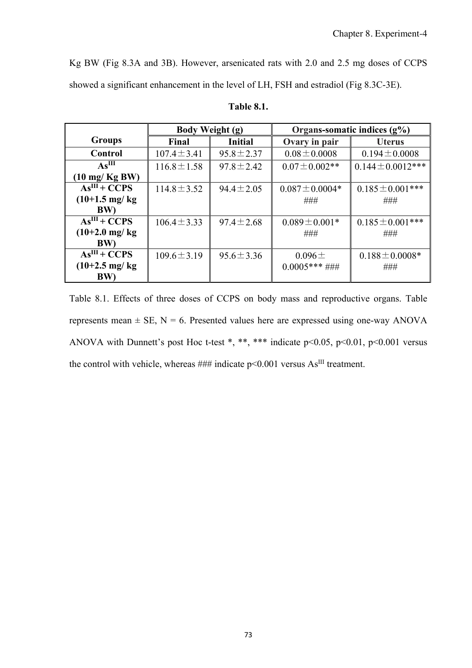Kg BW (Fig 8.3A and 3B). However, arsenicated rats with 2.0 and 2.5 mg doses of CCPS showed a significant enhancement in the level of LH, FSH and estradiol (Fig 8.3C-3E).

|                          | Body Weight (g)  |                 | Organs-somatic indices $(g\%)$ |                        |  |
|--------------------------|------------------|-----------------|--------------------------------|------------------------|--|
| <b>Groups</b>            | Final            | <b>Initial</b>  | Ovary in pair                  | <b>Uterus</b>          |  |
| Control                  | $107.4 \pm 3.41$ | $95.8 \pm 2.37$ | $0.08 \pm 0.0008$              | $0.194 \pm 0.0008$     |  |
| As <sup>III</sup>        | $116.8 \pm 1.58$ | $97.8 \pm 2.42$ | $0.07 \pm 0.002$ **            | $0.144 \pm 0.0012$ *** |  |
| $(10 \text{ mg/Kg BW})$  |                  |                 |                                |                        |  |
| $AsIII + CCPS$           | $114.8 \pm 3.52$ | $94.4 \pm 2.05$ | $0.087 \pm 0.0004*$            | $0.185 \pm 0.001$ ***  |  |
| $(10+1.5 \text{ mg/kg})$ |                  |                 | ###                            | ###                    |  |
| BW)                      |                  |                 |                                |                        |  |
| $AsIII + CCPS$           | $106.4 \pm 3.33$ | $97.4 \pm 2.68$ | $0.089 \pm 0.001*$             | $0.185 \pm 0.001$ ***  |  |
| $(10+2.0 \text{ mg/kg})$ |                  |                 | ###                            | ###                    |  |
| <b>BW</b> )              |                  |                 |                                |                        |  |
| $AsIII + CCPS$           | $109.6 \pm 3.19$ | $95.6 \pm 3.36$ | $0.096 \pm$                    | $0.188 \pm 0.0008*$    |  |
| $(10+2.5 \text{ mg/kg})$ |                  |                 | $0.0005***\#~\#~$              | ###                    |  |
| BW)                      |                  |                 |                                |                        |  |

### **Table 8.1.**

Table 8.1. Effects of three doses of CCPS on body mass and reproductive organs. Table represents mean  $\pm$  SE, N = 6. Presented values here are expressed using one-way ANOVA ANOVA with Dunnett's post Hoc t-test \*, \*\*, \*\*\* indicate p<0.05, p<0.01, p<0.001 versus the control with vehicle, whereas  $\# \# \#$  indicate p<0.001 versus As<sup>III</sup> treatment.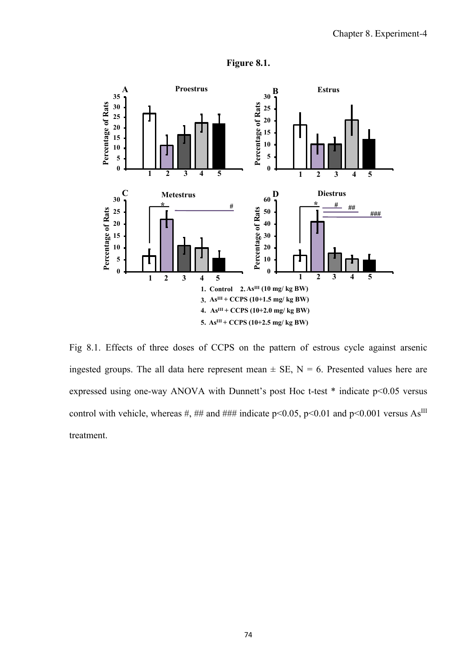

**Figure 8.1.** 

Fig 8.1. Effects of three doses of CCPS on the pattern of estrous cycle against arsenic ingested groups. The all data here represent mean  $\pm$  SE, N = 6. Presented values here are expressed using one-way ANOVA with Dunnett's post Hoc t-test \* indicate p<0.05 versus control with vehicle, whereas #, ## and ### indicate p<0.05, p<0.01 and p<0.001 versus  $As^{III}$ treatment.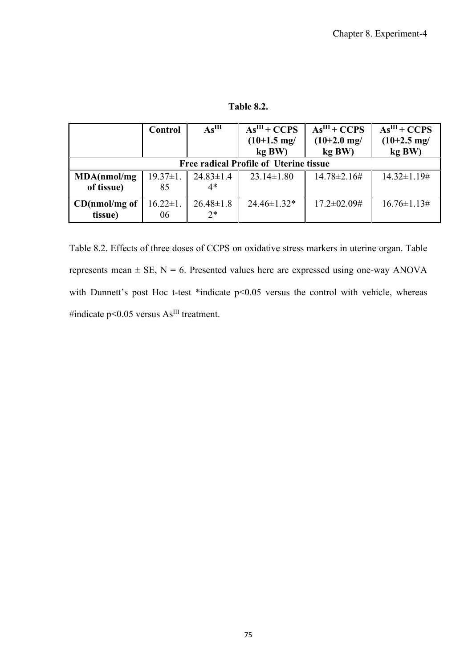**Table 8.2.** 

|                                               | Control        | As <sup>III</sup> | $AsIII + CCPS$        | $AsIII + CCPS$      | $AsIII + CCPS$        |  |  |  |
|-----------------------------------------------|----------------|-------------------|-----------------------|---------------------|-----------------------|--|--|--|
|                                               |                |                   | $(10+1.5 \text{ mg})$ | $(10+2.0)$ mg/      | $(10+2.5 \text{ mg})$ |  |  |  |
|                                               |                |                   | kg BW)                | kg BW)              | kg BW)                |  |  |  |
| <b>Free radical Profile of Uterine tissue</b> |                |                   |                       |                     |                       |  |  |  |
| MDA(nmol/mg                                   | $19.37 \pm 1.$ | $24.83 \pm 1.4$   | $23.14 \pm 1.80$      | $14.78 \pm 2.16 \#$ | $14.32 \pm 1.19 \#$   |  |  |  |
| of tissue)                                    | 85             | 4*                |                       |                     |                       |  |  |  |
| CD(nmol/mg of                                 | $16.22 \pm 1.$ | $26.48 \pm 1.8$   | $24.46 \pm 1.32$ *    | $17.2 \pm 02.09$ #  | $16.76 \pm 1.13 \#$   |  |  |  |
| tissue)                                       | 06             | $2^*$             |                       |                     |                       |  |  |  |

Table 8.2. Effects of three doses of CCPS on oxidative stress markers in uterine organ. Table represents mean  $\pm$  SE, N = 6. Presented values here are expressed using one-way ANOVA with Dunnett's post Hoc t-test \*indicate p<0.05 versus the control with vehicle, whereas #indicate p< $0.05$  versus  $As<sup>III</sup>$  treatment.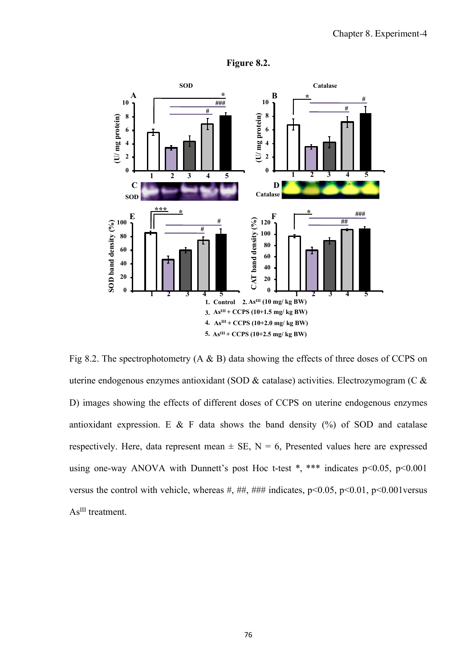

**Figure 8.2.** 

Fig 8.2. The spectrophotometry (A & B) data showing the effects of three doses of CCPS on uterine endogenous enzymes antioxidant (SOD & catalase) activities. Electrozymogram (C & D) images showing the effects of different doses of CCPS on uterine endogenous enzymes antioxidant expression. E & F data shows the band density  $(\%)$  of SOD and catalase respectively. Here, data represent mean  $\pm$  SE, N = 6, Presented values here are expressed using one-way ANOVA with Dunnett's post Hoc t-test  $*$ ,  $***$  indicates p<0.05, p<0.001 versus the control with vehicle, whereas #, ##, ### indicates,  $p<0.05$ ,  $p<0.01$ ,  $p<0.001$  versus As<sup>III</sup> treatment.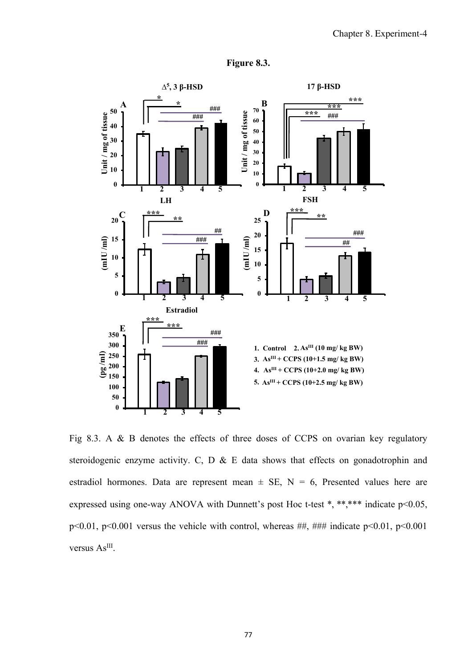

**Figure 8.3.** 

Fig 8.3. A & B denotes the effects of three doses of CCPS on ovarian key regulatory steroidogenic enzyme activity. C, D & E data shows that effects on gonadotrophin and estradiol hormones. Data are represent mean  $\pm$  SE, N = 6, Presented values here are expressed using one-way ANOVA with Dunnett's post Hoc t-test \*, \*\*,\*\*\* indicate p<0.05, p<0.01, p<0.001 versus the vehicle with control, whereas ##, ### indicate p<0.01, p<0.001 versus As<sup>III</sup>.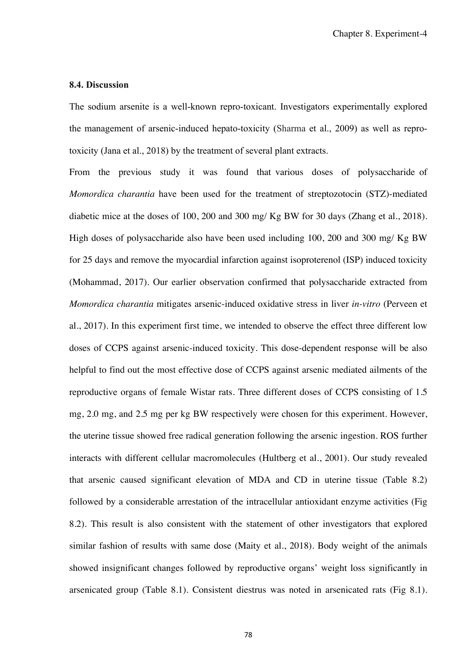#### **8.4. Discussion**

The sodium arsenite is a well-known repro-toxicant. Investigators experimentally explored the management of arsenic-induced hepato-toxicity (Sharma et al., 2009) as well as reprotoxicity (Jana et al., 2018) by the treatment of several plant extracts.

From the previous study it was found that various doses of polysaccharide of *Momordica charantia* have been used for the treatment of streptozotocin (STZ)-mediated diabetic mice at the doses of 100, 200 and 300 mg/ Kg BW for 30 days (Zhang et al., 2018). High doses of polysaccharide also have been used including 100, 200 and 300 mg/ Kg BW for 25 days and remove the myocardial infarction against isoproterenol (ISP) induced toxicity (Mohammad, 2017). Our earlier observation confirmed that polysaccharide extracted from *Momordica charantia* mitigates arsenic-induced oxidative stress in liver *in-vitro* (Perveen et al., 2017). In this experiment first time, we intended to observe the effect three different low doses of CCPS against arsenic-induced toxicity. This dose-dependent response will be also helpful to find out the most effective dose of CCPS against arsenic mediated ailments of the reproductive organs of female Wistar rats. Three different doses of CCPS consisting of 1.5 mg, 2.0 mg, and 2.5 mg per kg BW respectively were chosen for this experiment. However, the uterine tissue showed free radical generation following the arsenic ingestion. ROS further interacts with different cellular macromolecules (Hultberg et al., 2001). Our study revealed that arsenic caused significant elevation of MDA and CD in uterine tissue (Table 8.2) followed by a considerable arrestation of the intracellular antioxidant enzyme activities (Fig 8.2). This result is also consistent with the statement of other investigators that explored similar fashion of results with same dose (Maity et al., 2018). Body weight of the animals showed insignificant changes followed by reproductive organs' weight loss significantly in arsenicated group (Table 8.1). Consistent diestrus was noted in arsenicated rats (Fig 8.1).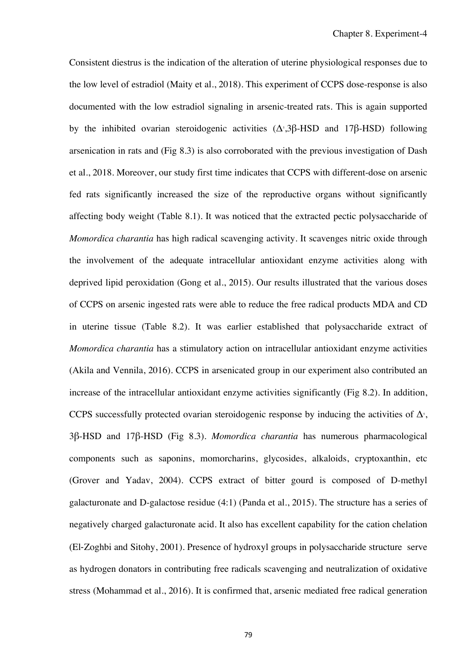Consistent diestrus is the indication of the alteration of uterine physiological responses due to the low level of estradiol (Maity et al., 2018). This experiment of CCPS dose-response is also documented with the low estradiol signaling in arsenic-treated rats. This is again supported by the inhibited ovarian steroidogenic activities  $(Δ<sup>s</sup>,3β-HSD)$  and  $17β-HSD)$  following arsenication in rats and (Fig 8.3) is also corroborated with the previous investigation of Dash et al., 2018. Moreover, our study first time indicates that CCPS with different-dose on arsenic fed rats significantly increased the size of the reproductive organs without significantly affecting body weight (Table 8.1). It was noticed that the extracted pectic polysaccharide of *Momordica charantia* has high radical scavenging activity. It scavenges nitric oxide through the involvement of the adequate intracellular antioxidant enzyme activities along with deprived lipid peroxidation (Gong et al., 2015). Our results illustrated that the various doses of CCPS on arsenic ingested rats were able to reduce the free radical products MDA and CD in uterine tissue (Table 8.2). It was earlier established that polysaccharide extract of *Momordica charantia* has a stimulatory action on intracellular antioxidant enzyme activities (Akila and Vennila, 2016). CCPS in arsenicated group in our experiment also contributed an increase of the intracellular antioxidant enzyme activities significantly (Fig 8.2). In addition, CCPS successfully protected ovarian steroidogenic response by inducing the activities of  $\Delta$ <sup>5</sup>, 3β-HSD and 17β-HSD (Fig 8.3). *Momordica charantia* has numerous pharmacological components such as saponins, momorcharins, glycosides, alkaloids, cryptoxanthin, etc (Grover and Yadav, 2004). CCPS extract of bitter gourd is composed of D-methyl galacturonate and D-galactose residue (4:1) (Panda et al., 2015). The structure has a series of negatively charged galacturonate acid. It also has excellent capability for the cation chelation (El-Zoghbi and Sitohy, 2001). Presence of hydroxyl groups in polysaccharide structure serve as hydrogen donators in contributing free radicals scavenging and neutralization of oxidative stress (Mohammad et al., 2016). It is confirmed that, arsenic mediated free radical generation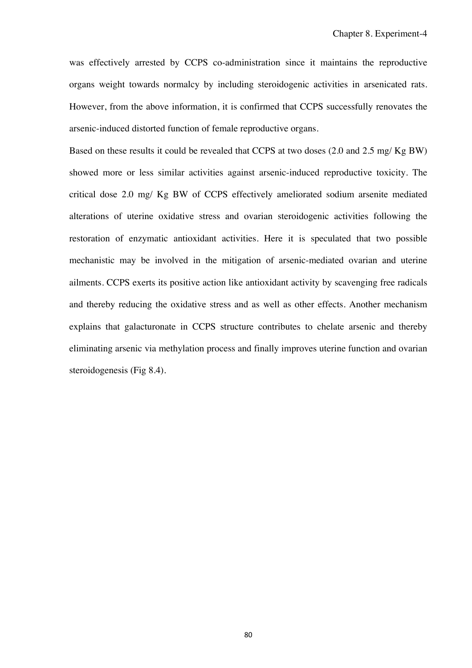was effectively arrested by CCPS co-administration since it maintains the reproductive organs weight towards normalcy by including steroidogenic activities in arsenicated rats. However, from the above information, it is confirmed that CCPS successfully renovates the arsenic-induced distorted function of female reproductive organs.

Based on these results it could be revealed that CCPS at two doses (2.0 and 2.5 mg/ Kg BW) showed more or less similar activities against arsenic-induced reproductive toxicity. The critical dose 2.0 mg/ Kg BW of CCPS effectively ameliorated sodium arsenite mediated alterations of uterine oxidative stress and ovarian steroidogenic activities following the restoration of enzymatic antioxidant activities. Here it is speculated that two possible mechanistic may be involved in the mitigation of arsenic-mediated ovarian and uterine ailments. CCPS exerts its positive action like antioxidant activity by scavenging free radicals and thereby reducing the oxidative stress and as well as other effects. Another mechanism explains that galacturonate in CCPS structure contributes to chelate arsenic and thereby eliminating arsenic via methylation process and finally improves uterine function and ovarian steroidogenesis (Fig 8.4).